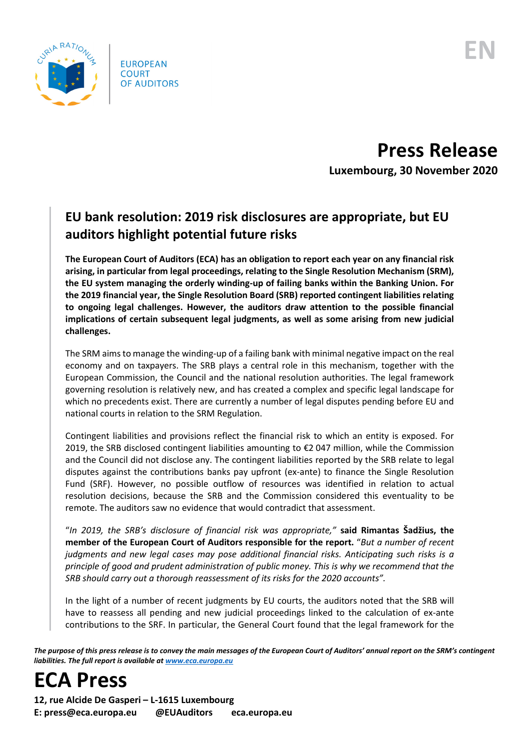

**Press Release Luxembourg, 30 November 2020**

## **EU bank resolution: 2019 risk disclosures are appropriate, but EU auditors highlight potential future risks**

**The European Court of Auditors (ECA) has an obligation to report each year on any financial risk arising, in particular from legal proceedings, relating to the Single Resolution Mechanism (SRM), the EU system managing the orderly winding-up of failing banks within the Banking Union. For the 2019 financial year, the Single Resolution Board (SRB) reported contingent liabilities relating to ongoing legal challenges. However, the auditors draw attention to the possible financial implications of certain subsequent legal judgments, as well as some arising from new judicial challenges.**

The SRM aims to manage the winding-up of a failing bank with minimal negative impact on the real economy and on taxpayers. The SRB plays a central role in this mechanism, together with the European Commission, the Council and the national resolution authorities. The legal framework governing resolution is relatively new, and has created a complex and specific legal landscape for which no precedents exist. There are currently a number of legal disputes pending before EU and national courts in relation to the SRM Regulation.

Contingent liabilities and provisions reflect the financial risk to which an entity is exposed. For 2019, the SRB disclosed contingent liabilities amounting to €2 047 million, while the Commission and the Council did not disclose any. The contingent liabilities reported by the SRB relate to legal disputes against the contributions banks pay upfront (ex-ante) to finance the Single Resolution Fund (SRF). However, no possible outflow of resources was identified in relation to actual resolution decisions, because the SRB and the Commission considered this eventuality to be remote. The auditors saw no evidence that would contradict that assessment.

"*In 2019, the SRB's disclosure of financial risk was appropriate,"* **said Rimantas Šadžius, the member of the European Court of Auditors responsible for the report.** "*But a number of recent judgments and new legal cases may pose additional financial risks. Anticipating such risks is a principle of good and prudent administration of public money. This is why we recommend that the SRB should carry out a thorough reassessment of its risks for the 2020 accounts".*

In the light of a number of recent judgments by EU courts, the auditors noted that the SRB will have to reassess all pending and new judicial proceedings linked to the calculation of ex-ante contributions to the SRF. In particular, the General Court found that the legal framework for the

*The purpose of this press release is to convey the main messages of the European Court of Auditors' annual report on the SRM's contingent liabilities. The full report is available a[t www.eca.europa.eu](http://www.eca.europa.eu/)*



**12, rue Alcide De Gasperi – L-1615 Luxembourg E: press@eca.europa.eu @EUAuditors eca.europa.eu**